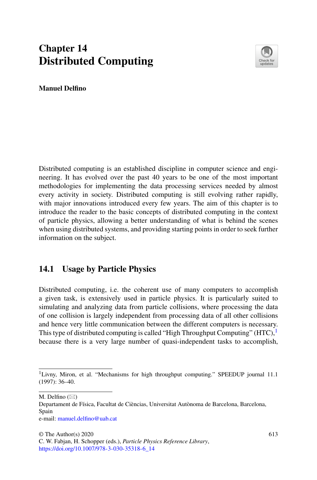# **Chapter 14 Distributed Computing**



**Manuel Delfino**

Distributed computing is an established discipline in computer science and engineering. It has evolved over the past 40 years to be one of the most important methodologies for implementing the data processing services needed by almost every activity in society. Distributed computing is still evolving rather rapidly, with major innovations introduced every few years. The aim of this chapter is to introduce the reader to the basic concepts of distributed computing in the context of particle physics, allowing a better understanding of what is behind the scenes when using distributed systems, and providing starting points in order to seek further information on the subject.

## <span id="page-0-1"></span>**14.1 Usage by Particle Physics**

Distributed computing, i.e. the coherent use of many computers to accomplish a given task, is extensively used in particle physics. It is particularly suited to simulating and analyzing data from particle collisions, where processing the data of one collision is largely independent from processing data of all other collisions and hence very little communication between the different computers is necessary. This type of distributed computing is called "High Throughput Computing" (HTC),<sup>[1](#page-0-0)</sup> because there is a very large number of quasi-independent tasks to accomplish,

M. Delfino  $(\boxtimes)$ 

<span id="page-0-0"></span><sup>&</sup>lt;sup>1</sup>Livny, Miron, et al. "Mechanisms for high throughput computing." SPEEDUP journal 11.1 (1997): 36–40.

Departament de Física, Facultat de Cièncias, Universitat Autònoma de Barcelona, Barcelona, Spain e-mail: [manuel.delfino@uab.cat](mailto:manuel.delfino@uab.cat)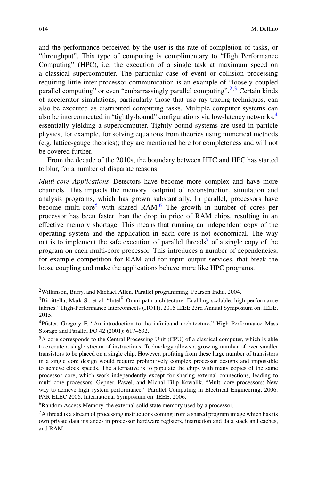and the performance perceived by the user is the rate of completion of tasks, or "throughput". This type of computing is complimentary to "High Performance Computing" (HPC), i.e. the execution of a single task at maximum speed on a classical supercomputer. The particular case of event or collision processing requiring little inter-processor communication is an example of "loosely coupled parallel computing" or even "embarrassingly parallel computing".<sup>[2](#page-1-0)[,3](#page-1-1)</sup> Certain kinds of accelerator simulations, particularly those that use ray-tracing techniques, can also be executed as distributed computing tasks. Multiple computer systems can also be interconnected in "tightly-bound" configurations via low-latency networks,[4](#page-1-2) essentially yielding a supercomputer. Tightly-bound systems are used in particle physics, for example, for solving equations from theories using numerical methods (e.g. lattice-gauge theories); they are mentioned here for completeness and will not be covered further.

From the decade of the 2010s, the boundary between HTC and HPC has started to blur, for a number of disparate reasons:

*Multi-core Applications* Detectors have become more complex and have more channels. This impacts the memory footprint of reconstruction, simulation and analysis programs, which has grown substantially. In parallel, processors have become multi-core<sup>5</sup> with shared RAM.<sup>[6](#page-1-4)</sup> The growth in number of cores per processor has been faster than the drop in price of RAM chips, resulting in an effective memory shortage. This means that running an independent copy of the operating system and the application in each core is not economical. The way out is to implement the safe execution of parallel threads<sup>[7](#page-1-5)</sup> of a single copy of the program on each multi-core processor. This introduces a number of dependencies, for example competition for RAM and for input–output services, that break the loose coupling and make the applications behave more like HPC programs.

<span id="page-1-4"></span><sup>6</sup>Random Access Memory, the external solid state memory used by a processor.

<span id="page-1-0"></span><sup>2</sup>Wilkinson, Barry, and Michael Allen. Parallel programming. Pearson India, 2004.

<span id="page-1-1"></span> $3$ Birrittella, Mark S., et al. "Intel $^{\circ}$  Omni-path architecture: Enabling scalable, high performance fabrics." High-Performance Interconnects (HOTI), 2015 IEEE 23rd Annual Symposium on. IEEE, 2015.

<span id="page-1-2"></span><sup>4</sup>Pfister, Gregory F. "An introduction to the infiniband architecture." High Performance Mass Storage and Parallel I/O 42 (2001): 617–632.

<span id="page-1-3"></span><sup>5</sup>A core corresponds to the Central Processing Unit (CPU) of a classical computer, which is able to execute a single stream of instructions. Technology allows a growing number of ever smaller transistors to be placed on a single chip. However, profiting from these large number of transistors in a single core design would require prohibitively complex processor designs and impossible to achieve clock speeds. The alternative is to populate the chips with many copies of the same processor core, which work independently except for sharing external connections, leading to multi-core processors. Gepner, Pawel, and Michal Filip Kowalik. "Multi-core processors: New way to achieve high system performance." Parallel Computing in Electrical Engineering, 2006. PAR ELEC 2006. International Symposium on. IEEE, 2006.

<span id="page-1-5"></span><sup>&</sup>lt;sup>7</sup>A thread is a stream of processing instructions coming from a shared program image which has its own private data instances in processor hardware registers, instruction and data stack and caches, and RAM.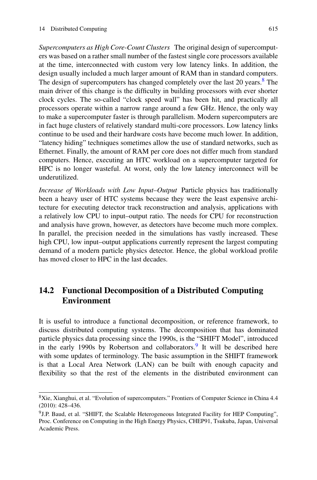*Supercomputers as High Core-Count Clusters* The original design of supercomputers was based on a rather small number of the fastest single core processors available at the time, interconnected with custom very low latency links. In addition, the design usually included a much larger amount of RAM than in standard computers. The design of supercomputers has changed completely over the last 20 years.<sup>8</sup> The main driver of this change is the difficulty in building processors with ever shorter clock cycles. The so-called "clock speed wall" has been hit, and practically all processors operate within a narrow range around a few GHz. Hence, the only way to make a supercomputer faster is through parallelism. Modern supercomputers are in fact huge clusters of relatively standard multi-core processors. Low latency links continue to be used and their hardware costs have become much lower. In addition, "latency hiding" techniques sometimes allow the use of standard networks, such as Ethernet. Finally, the amount of RAM per core does not differ much from standard computers. Hence, executing an HTC workload on a supercomputer targeted for HPC is no longer wasteful. At worst, only the low latency interconnect will be underutilized.

*Increase of Workloads with Low Input–Output* Particle physics has traditionally been a heavy user of HTC systems because they were the least expensive architecture for executing detector track reconstruction and analysis, applications with a relatively low CPU to input–output ratio. The needs for CPU for reconstruction and analysis have grown, however, as detectors have become much more complex. In parallel, the precision needed in the simulations has vastly increased. These high CPU, low input–output applications currently represent the largest computing demand of a modern particle physics detector. Hence, the global workload profile has moved closer to HPC in the last decades.

# **14.2 Functional Decomposition of a Distributed Computing Environment**

It is useful to introduce a functional decomposition, or reference framework, to discuss distributed computing systems. The decomposition that has dominated particle physics data processing since the 1990s, is the "SHIFT Model", introduced in the early 1990s by Robertson and collaborators. $9$  It will be described here with some updates of terminology. The basic assumption in the SHIFT framework is that a Local Area Network (LAN) can be built with enough capacity and flexibility so that the rest of the elements in the distributed environment can

<span id="page-2-0"></span><sup>&</sup>lt;sup>8</sup>Xie, Xianghui, et al. "Evolution of supercomputers." Frontiers of Computer Science in China 4.4 (2010): 428–436.

<span id="page-2-1"></span><sup>&</sup>lt;sup>9</sup> J.P. Baud, et al. "SHIFT, the Scalable Heterogeneous Integrated Facility for HEP Computing", Proc. Conference on Computing in the High Energy Physics, CHEP91, Tsukuba, Japan, Universal Academic Press.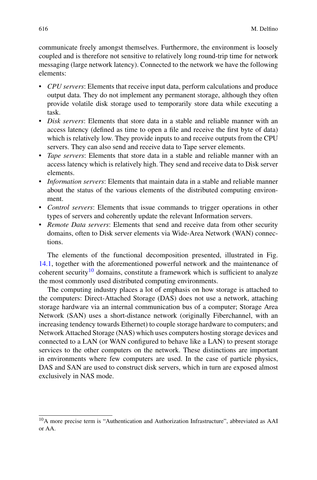communicate freely amongst themselves. Furthermore, the environment is loosely coupled and is therefore not sensitive to relatively long round-trip time for network messaging (large network latency). Connected to the network we have the following elements:

- *CPU servers*: Elements that receive input data, perform calculations and produce output data. They do not implement any permanent storage, although they often provide volatile disk storage used to temporarily store data while executing a task.
- *Disk servers*: Elements that store data in a stable and reliable manner with an access latency (defined as time to open a file and receive the first byte of data) which is relatively low. They provide inputs to and receive outputs from the CPU servers. They can also send and receive data to Tape server elements.
- *Tape servers*: Elements that store data in a stable and reliable manner with an access latency which is relatively high. They send and receive data to Disk server elements.
- *Information servers*: Elements that maintain data in a stable and reliable manner about the status of the various elements of the distributed computing environment.
- *Control servers*: Elements that issue commands to trigger operations in other types of servers and coherently update the relevant Information servers.
- *Remote Data servers*: Elements that send and receive data from other security domains, often to Disk server elements via Wide-Area Network (WAN) connections.

The elements of the functional decomposition presented, illustrated in Fig. [14.1,](#page-4-0) together with the aforementioned powerful network and the maintenance of coherent security<sup>[10](#page-3-0)</sup> domains, constitute a framework which is sufficient to analyze the most commonly used distributed computing environments.

The computing industry places a lot of emphasis on how storage is attached to the computers: Direct-Attached Storage (DAS) does not use a network, attaching storage hardware via an internal communication bus of a computer; Storage Area Network (SAN) uses a short-distance network (originally Fiberchannel, with an increasing tendency towards Ethernet) to couple storage hardware to computers; and Network Attached Storage (NAS) which uses computers hosting storage devices and connected to a LAN (or WAN configured to behave like a LAN) to present storage services to the other computers on the network. These distinctions are important in environments where few computers are used. In the case of particle physics, DAS and SAN are used to construct disk servers, which in turn are exposed almost exclusively in NAS mode.

<span id="page-3-0"></span><sup>&</sup>lt;sup>10</sup>A more precise term is "Authentication and Authorization Infrastructure", abbreviated as AAI or AA.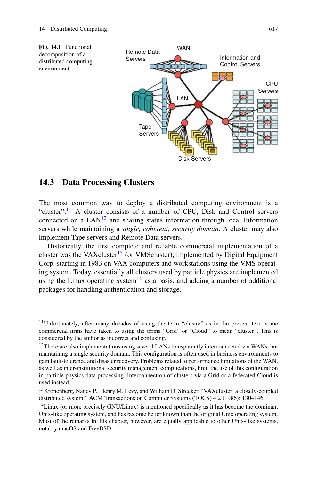<span id="page-4-0"></span>

#### **14.3 Data Processing Clusters**

The most common way to deploy a distributed computing environment is a "cluster".<sup>[11](#page-4-1)</sup> A cluster consists of a number of CPU, Disk and Control servers connected on a  $LAN^{12}$  and sharing status information through local Information servers while maintaining a *single, coherent, security domain*. A cluster may also implement Tape servers and Remote Data servers.

Historically, the first complete and reliable commercial implementation of a cluster was the VAXcluster<sup>[13](#page-4-3)</sup> (or VMScluster), implemented by Digital Equipment Corp. starting in 1983 on VAX computers and workstations using the VMS operating system. Today, essentially all clusters used by particle physics are implemented using the Linux operating system<sup>[14](#page-4-4)</sup> as a basis, and adding a number of additional packages for handling authentication and storage.

<span id="page-4-1"></span><sup>&</sup>lt;sup>11</sup>Unfortunately, after many decades of using the term "cluster" as in the present text, some commercial firms have taken to using the terms "Grid" or "Cloud" to mean "cluster". This is considered by the author as incorrect and confusing.

<span id="page-4-2"></span> $12$ There are also implementations using several LANs transparently interconnected via WANs, but maintaining a single security domain. This configuration is often used in business environments to gain fault-tolerance and disaster recovery. Problems related to performance limitations of the WAN, as well as inter-institutional security management complications, limit the use of this configuration in particle physics data processing. Interconnection of clusters via a Grid or a federated Cloud is used instead.

<span id="page-4-3"></span><sup>&</sup>lt;sup>13</sup> Kronenberg, Nancy P., Henry M. Levy, and William D. Strecker. "VAXcluster: a closely-coupled distributed system." ACM Transactions on Computer Systems (TOCS) 4.2 (1986): 130–146.

<span id="page-4-4"></span> $<sup>14</sup>$ Linux (or more precisely GNU/Linux) is mentioned specifically as it has become the dominant</sup> Unix-like operating system, and has become better known than the original Unix operating system. Most of the remarks in this chapter, however, are equally applicable to other Unix-like systems, notably macOS and FreeBSD.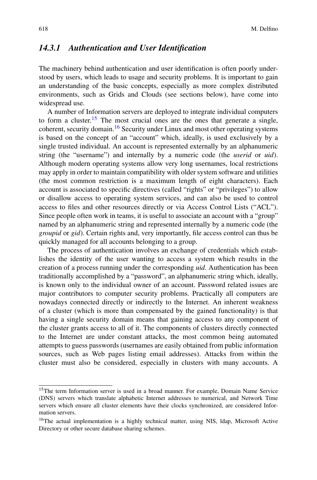#### *14.3.1 Authentication and User Identification*

The machinery behind authentication and user identification is often poorly understood by users, which leads to usage and security problems. It is important to gain an understanding of the basic concepts, especially as more complex distributed environments, such as Grids and Clouds (see sections below), have come into widespread use.

A number of Information servers are deployed to integrate individual computers to form a cluster.<sup>15</sup> The most crucial ones are the ones that generate a single, coherent, security domain.<sup>16</sup> Security under Linux and most other operating systems is based on the concept of an "account" which, ideally, is used exclusively by a single trusted individual. An account is represented externally by an alphanumeric string (the "username") and internally by a numeric code (the *userid* or *uid*). Although modern operating systems allow very long usernames, local restrictions may apply in order to maintain compatibility with older system software and utilities (the most common restriction is a maximum length of eight characters). Each account is associated to specific directives (called "rights" or "privileges") to allow or disallow access to operating system services, and can also be used to control access to files and other resources directly or via Access Control Lists ("ACL"). Since people often work in teams, it is useful to associate an account with a "group" named by an alphanumeric string and represented internally by a numeric code (the *groupid* or *gid*). Certain rights and, very importantly, file access control can thus be quickly managed for all accounts belonging to a group.

The process of authentication involves an exchange of credentials which establishes the identity of the user wanting to access a system which results in the creation of a process running under the corresponding *uid*. Authentication has been traditionally accomplished by a "password", an alphanumeric string which, ideally, is known only to the individual owner of an account. Password related issues are major contributors to computer security problems. Practically all computers are nowadays connected directly or indirectly to the Internet. An inherent weakness of a cluster (which is more than compensated by the gained functionality) is that having a single security domain means that gaining access to any component of the cluster grants access to all of it. The components of clusters directly connected to the Internet are under constant attacks, the most common being automated attempts to guess passwords (usernames are easily obtained from public information sources, such as Web pages listing email addresses). Attacks from within the cluster must also be considered, especially in clusters with many accounts. A

<span id="page-5-0"></span><sup>&</sup>lt;sup>15</sup>The term Information server is used in a broad manner. For example, Domain Name Service (DNS) servers which translate alphabetic Internet addresses to numerical, and Network Time servers which ensure all cluster elements have their clocks synchronized, are considered Information servers.

<span id="page-5-1"></span><sup>&</sup>lt;sup>16</sup>The actual implementation is a highly technical matter, using NIS, Idap, Microsoft Active Directory or other secure database sharing schemes.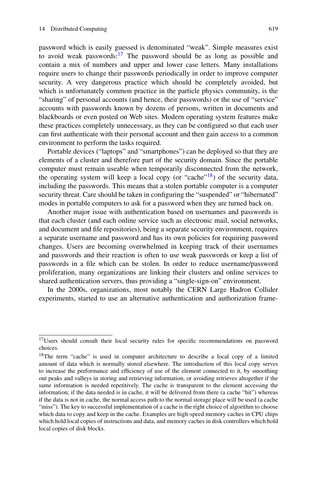password which is easily guessed is denominated "weak". Simple measures exist to avoid weak passwords: $17$  The password should be as long as possible and contain a mix of numbers and upper and lower case letters. Many installations require users to change their passwords periodically in order to improve computer security. A very dangerous practice which should be completely avoided, but which is unfortunately common practice in the particle physics community, is the "sharing" of personal accounts (and hence, their passwords) or the use of "service" accounts with passwords known by dozens of persons, written in documents and blackboards or even posted on Web sites. Modern operating system features make these practices completely unnecessary, as they can be configured so that each user can first authenticate with their personal account and then gain access to a common environment to perform the tasks required.

Portable devices ("laptops" and "smartphones") can be deployed so that they are elements of a cluster and therefore part of the security domain. Since the portable computer must remain useable when temporarily disconnected from the network, the operating system will keep a local copy (or "cache"<sup>18</sup>) of the security data, including the passwords. This means that a stolen portable computer is a computer security threat. Care should be taken in configuring the "suspended" or "hibernated" modes in portable computers to ask for a password when they are turned back on.

Another major issue with authentication based on usernames and passwords is that each cluster (and each online service such as electronic mail, social networks, and document and file repositories), being a separate security environment, requires a separate username and password and has its own policies for requiring password changes. Users are becoming overwhelmed in keeping track of their usernames and passwords and their reaction is often to use weak passwords or keep a list of passwords in a file which can be stolen. In order to reduce username/password proliferation, many organizations are linking their clusters and online services to shared authentication servers, thus providing a "single-sign-on" environment.

In the 2000s, organizations, most notably the CERN Large Hadron Collider experiments, started to use an alternative authentication and authorization frame-

<span id="page-6-0"></span><sup>&</sup>lt;sup>17</sup>Users should consult their local security rules for specific recommendations on password choices.

<span id="page-6-1"></span><sup>&</sup>lt;sup>18</sup>The term "cache" is used in computer architecture to describe a local copy of a limited amount of data which is normally stored elsewhere. The introduction of this local copy serves to increase the performance and efficiency of use of the element connected to it, by smoothing out peaks and valleys in storing and retrieving information, or avoiding retrieves altogether if the same information is needed repetitively. The cache is transparent to the element accessing the information; if the data needed is in cache, it will be delivered from there (a cache "hit") whereas if the data is not in cache, the normal access path to the normal storage place will be used (a cache "miss"). The key to successful implementation of a cache is the right choice of algorithm to choose which data to copy and keep in the cache. Examples are high-speed memory caches in CPU chips which hold local copies of instructions and data, and memory caches in disk controllers which hold local copies of disk blocks.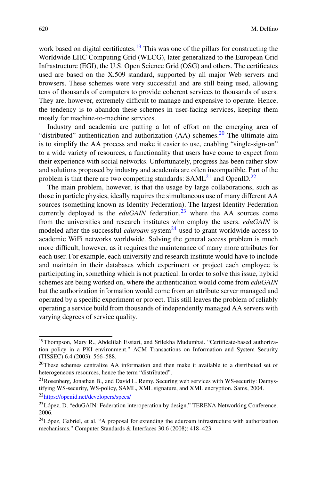work based on digital certificates.<sup>19</sup> This was one of the pillars for constructing the Worldwide LHC Computing Grid (WLCG), later generalized to the European Grid Infrastructure (EGI), the U.S. Open Science Grid (OSG) and others. The certificates used are based on the X.509 standard, supported by all major Web servers and browsers. These schemes were very successful and are still being used, allowing tens of thousands of computers to provide coherent services to thousands of users. They are, however, extremely difficult to manage and expensive to operate. Hence, the tendency is to abandon these schemes in user-facing services, keeping them mostly for machine-to-machine services.

Industry and academia are putting a lot of effort on the emerging area of "distributed" authentication and authorization  $(AA)$  schemes.<sup>20</sup> The ultimate aim is to simplify the AA process and make it easier to use, enabling "single-sign-on" to a wide variety of resources, a functionality that users have come to expect from their experience with social networks. Unfortunately, progress has been rather slow and solutions proposed by industry and academia are often incompatible. Part of the problem is that there are two competing standards:  $SAML<sup>21</sup>$  and OpenID.<sup>[22](#page-7-3)</sup>

The main problem, however, is that the usage by large collaborations, such as those in particle physics, ideally requires the simultaneous use of many different AA sources (something known as Identity Federation). The largest Identity Federation currently deployed is the  $eduGAIN$  federation,<sup>[23](#page-7-4)</sup> where the AA sources come from the universities and research institutes who employ the users. *eduGAIN* is modeled after the successful *eduroam* system<sup>24</sup> used to grant worldwide access to academic WiFi networks worldwide. Solving the general access problem is much more difficult, however, as it requires the maintenance of many more attributes for each user. For example, each university and research institute would have to include and maintain in their databases which experiment or project each employee is participating in, something which is not practical. In order to solve this issue, hybrid schemes are being worked on, where the authentication would come from *eduGAIN* but the authorization information would come from an attribute server managed and operated by a specific experiment or project. This still leaves the problem of reliably operating a service build from thousands of independently managed AA servers with varying degrees of service quality.

<span id="page-7-0"></span><sup>&</sup>lt;sup>19</sup>Thompson, Mary R., Abdelilah Essiari, and Srilekha Mudumbai. "Certificate-based authorization policy in a PKI environment." ACM Transactions on Information and System Security (TISSEC) 6.4 (2003): 566–588.

<span id="page-7-1"></span> $20$ These schemes centralize AA information and then make it available to a distributed set of heterogeneous resources, hence the term "distributed".

<span id="page-7-2"></span><sup>21</sup>Rosenberg, Jonathan B., and David L. Remy. Securing web services with WS-security: Demystifying WS-security, WS-policy, SAML, XML signature, and XML encryption. Sams, 2004. 2[2https://openid.net/developers/specs/](https://openid.net/developers/specs/)

<span id="page-7-4"></span><span id="page-7-3"></span><sup>&</sup>lt;sup>23</sup>López, D. "eduGAIN: Federation interoperation by design." TERENA Networking Conference. 2006.

<span id="page-7-5"></span> $24$ López, Gabriel, et al. "A proposal for extending the eduroam infrastructure with authorization mechanisms." Computer Standards & Interfaces 30.6 (2008): 418–423.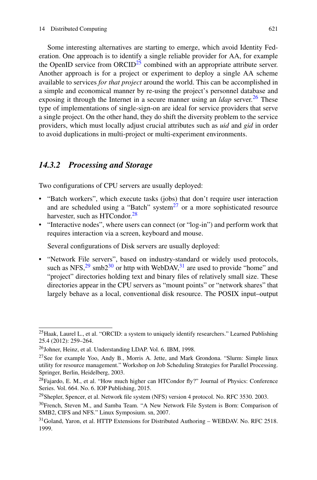Some interesting alternatives are starting to emerge, which avoid Identity Federation. One approach is to identify a single reliable provider for AA, for example the OpenID service from  $ORCID<sup>25</sup>$  combined with an appropriate attribute server. Another approach is for a project or experiment to deploy a single AA scheme available to services *for that project* around the world. This can be accomplished in a simple and economical manner by re-using the project's personnel database and exposing it through the Internet in a secure manner using an *ldap* server.<sup>26</sup> These type of implementations of single-sign-on are ideal for service providers that serve a single project. On the other hand, they do shift the diversity problem to the service providers, which must locally adjust crucial attributes such as *uid* and *gid* in order to avoid duplications in multi-project or multi-experiment environments.

#### *14.3.2 Processing and Storage*

Two configurations of CPU servers are usually deployed:

- "Batch workers", which execute tasks (jobs) that don't require user interaction and are scheduled using a "Batch" system<sup>27</sup> or a more sophisticated resource harvester, such as HTCondor.<sup>[28](#page-8-3)</sup>
- "Interactive nodes", where users can connect (or "log-in") and perform work that requires interaction via a screen, keyboard and mouse.

Several configurations of Disk servers are usually deployed:

• "Network File servers", based on industry-standard or widely used protocols, such as NFS, $^{29}$  $^{29}$  $^{29}$  smb $2^{30}$  or http with WebDAV, $^{31}$  $^{31}$  $^{31}$  are used to provide "home" and "project" directories holding text and binary files of relatively small size. These directories appear in the CPU servers as "mount points" or "network shares" that largely behave as a local, conventional disk resource. The POSIX input–output

<span id="page-8-0"></span><sup>&</sup>lt;sup>25</sup> Haak, Laurel L., et al. "ORCID: a system to uniquely identify researchers." Learned Publishing 25.4 (2012): 259–264.

<span id="page-8-1"></span><sup>&</sup>lt;sup>26</sup>Johner, Heinz, et al. Understanding LDAP. Vol. 6. IBM, 1998.

<span id="page-8-2"></span> $27$ See for example Yoo, Andy B., Morris A. Jette, and Mark Grondona. "Slurm: Simple linux utility for resource management." Workshop on Job Scheduling Strategies for Parallel Processing. Springer, Berlin, Heidelberg, 2003.

<span id="page-8-3"></span> $^{28}$ Fajardo, E. M., et al. "How much higher can HTCondor fly?" Journal of Physics: Conference Series. Vol. 664. No. 6. IOP Publishing, 2015.

<span id="page-8-4"></span><sup>&</sup>lt;sup>29</sup>Shepler, Spencer, et al. Network file system (NFS) version 4 protocol. No. RFC 3530. 2003.

<span id="page-8-5"></span><sup>&</sup>lt;sup>30</sup>French, Steven M., and Samba Team. "A New Network File System is Born: Comparison of SMB2, CIFS and NFS." Linux Symposium. sn, 2007.

<span id="page-8-6"></span><sup>&</sup>lt;sup>31</sup>Goland, Yaron, et al. HTTP Extensions for Distributed Authoring – WEBDAV. No. RFC 2518. 1999.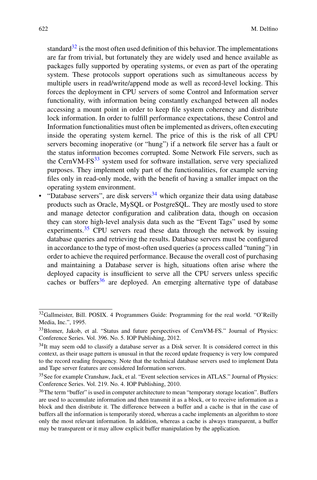standard $32$  is the most often used definition of this behavior. The implementations are far from trivial, but fortunately they are widely used and hence available as packages fully supported by operating systems, or even as part of the operating system. These protocols support operations such as simultaneous access by multiple users in read/write/append mode as well as record-level locking. This forces the deployment in CPU servers of some Control and Information server functionality, with information being constantly exchanged between all nodes accessing a mount point in order to keep file system coherency and distribute lock information. In order to fulfill performance expectations, these Control and Information functionalities must often be implemented as drivers, often executing inside the operating system kernel. The price of this is the risk of all CPU servers becoming inoperative (or "hung") if a network file server has a fault or the status information becomes corrupted. Some Network File servers, such as the CernVM-FS $33$  system used for software installation, serve very specialized purposes. They implement only part of the functionalities, for example serving files only in read-only mode, with the benefit of having a smaller impact on the operating system environment.

• "Database servers", are disk servers<sup>34</sup> which organize their data using database products such as Oracle, MySQL or PostgreSQL. They are mostly used to store and manage detector configuration and calibration data, though on occasion they can store high-level analysis data such as the "Event Tags" used by some experiments.<sup>35</sup> CPU servers read these data through the network by issuing database queries and retrieving the results. Database servers must be configured in accordance to the type of most-often used queries (a process called "tuning") in order to achieve the required performance. Because the overall cost of purchasing and maintaining a Database server is high, situations often arise where the deployed capacity is insufficient to serve all the CPU servers unless specific caches or buffers<sup>[36](#page-9-4)</sup> are deployed. An emerging alternative type of database

<span id="page-9-0"></span><sup>&</sup>lt;sup>32</sup>Gallmeister, Bill. POSIX. 4 Programmers Guide: Programming for the real world. "O'Reilly Media, Inc.", 1995.

<span id="page-9-1"></span><sup>33</sup>Blomer, Jakob, et al. "Status and future perspectives of CernVM-FS." Journal of Physics: Conference Series. Vol. 396. No. 5. IOP Publishing, 2012.

<span id="page-9-2"></span><sup>&</sup>lt;sup>34</sup>It may seem odd to classify a database server as a Disk server. It is considered correct in this context, as their usage pattern is unusual in that the record update frequency is very low compared to the record reading frequency. Note that the technical database servers used to implement Data and Tape server features are considered Information servers.

<span id="page-9-3"></span><sup>35</sup>See for example Cranshaw, Jack, et al. "Event selection services in ATLAS." Journal of Physics: Conference Series. Vol. 219. No. 4. IOP Publishing, 2010.

<span id="page-9-4"></span><sup>&</sup>lt;sup>36</sup>The term "buffer" is used in computer architecture to mean "temporary storage location". Buffers are used to accumulate information and then transmit it as a block, or to receive information as a block and then distribute it. The difference between a buffer and a cache is that in the case of buffers all the information is temporarily stored, whereas a cache implements an algorithm to store only the most relevant information. In addition, whereas a cache is always transparent, a buffer may be transparent or it may allow explicit buffer manipulation by the application.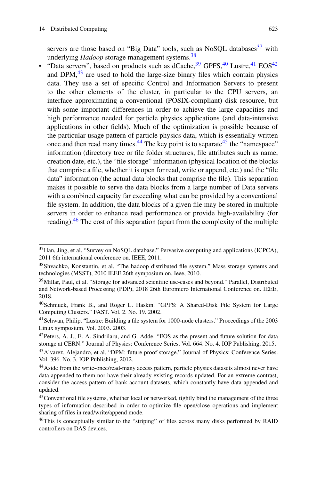servers are those based on "Big Data" tools, such as NoSQL databases $37$  with underlying *Hadoop* storage management systems.<sup>38</sup>

• "Data servers", based on products such as  $dCache<sup>39</sup>GPFS<sup>40</sup>$  $dCache<sup>39</sup>GPFS<sup>40</sup>$  $dCache<sup>39</sup>GPFS<sup>40</sup>$  Lustre,<sup>41</sup> EOS<sup>42</sup> and  $DPM<sub>1</sub><sup>43</sup>$  $DPM<sub>1</sub><sup>43</sup>$  $DPM<sub>1</sub><sup>43</sup>$  are used to hold the large-size binary files which contain physics data. They use a set of specific Control and Information Servers to present to the other elements of the cluster, in particular to the CPU servers, an interface approximating a conventional (POSIX-compliant) disk resource, but with some important differences in order to achieve the large capacities and high performance needed for particle physics applications (and data-intensive applications in other fields). Much of the optimization is possible because of the particular usage pattern of particle physics data, which is essentially written once and then read many times. $^{44}$  The key point is to separate  $^{45}$  the "namespace" information (directory tree or file folder structures, file attributes such as name, creation date, etc.), the "file storage" information (physical location of the blocks that comprise a file, whether it is open for read, write or append, etc.) and the "file data" information (the actual data blocks that comprise the file). This separation makes it possible to serve the data blocks from a large number of Data servers with a combined capacity far exceeding what can be provided by a conventional file system. In addition, the data blocks of a given file may be stored in multiple servers in order to enhance read performance or provide high-availability (for reading).<sup>[46](#page-10-9)</sup> The cost of this separation (apart from the complexity of the multiple

<span id="page-10-0"></span><sup>&</sup>lt;sup>37</sup>Han, Jing, et al. "Survey on NoSQL database." Pervasive computing and applications (ICPCA), 2011 6th international conference on. IEEE, 2011.

<span id="page-10-1"></span><sup>38</sup>Shvachko, Konstantin, et al. "The hadoop distributed file system." Mass storage systems and technologies (MSST), 2010 IEEE 26th symposium on. Ieee, 2010.

<span id="page-10-2"></span><sup>&</sup>lt;sup>39</sup>Millar, Paul, et al. "Storage for advanced scientific use-cases and beyond." Parallel, Distributed and Network-based Processing (PDP), 2018 26th Euromicro International Conference on. IEEE, 2018.

<span id="page-10-3"></span><sup>40</sup>Schmuck, Frank B., and Roger L. Haskin. "GPFS: A Shared-Disk File System for Large Computing Clusters." FAST. Vol. 2. No. 19. 2002.

<span id="page-10-4"></span><sup>41</sup>Schwan, Philip. "Lustre: Building a file system for 1000-node clusters." Proceedings of the 2003 Linux symposium. Vol. 2003. 2003.

<span id="page-10-5"></span><sup>42</sup>Peters, A. J., E. A. Sindrilaru, and G. Adde. "EOS as the present and future solution for data storage at CERN." Journal of Physics: Conference Series. Vol. 664. No. 4. IOP Publishing, 2015.

<span id="page-10-6"></span><sup>43</sup>Alvarez, Alejandro, et al. "DPM: future proof storage." Journal of Physics: Conference Series. Vol. 396. No. 3. IOP Publishing, 2012.

<span id="page-10-7"></span><sup>44</sup>Aside from the write-once/read-many access pattern, particle physics datasets almost never have data appended to them nor have their already existing records updated. For an extreme contrast, consider the access pattern of bank account datasets, which constantly have data appended and updated.

<span id="page-10-8"></span><sup>45</sup>Conventional file systems, whether local or networked, tightly bind the management of the three types of information described in order to optimize file open/close operations and implement sharing of files in read/write/append mode.

<span id="page-10-9"></span><sup>&</sup>lt;sup>46</sup>This is conceptually similar to the "striping" of files across many disks performed by RAID controllers on DAS devices.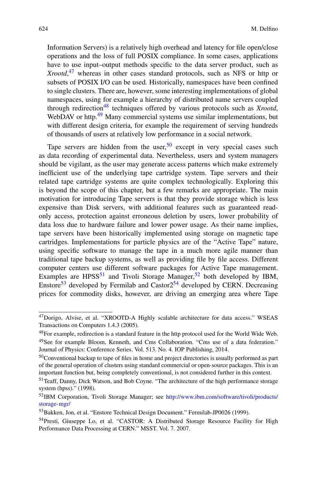Information Servers) is a relatively high overhead and latency for file open/close operations and the loss of full POSIX compliance. In some cases, applications have to use input–output methods specific to the data server product, such as Xrootd,<sup>[47](#page-11-0)</sup> whereas in other cases standard protocols, such as NFS or http or subsets of POSIX I/O can be used*.* Historically, namespaces have been confined to single clusters. There are, however, some interesting implementations of global namespaces, using for example a hierarchy of distributed name servers coupled through redirectio[n48](#page-11-1) techniques offered by various protocols such as *Xrootd*, WebDAV or http. $49$  Many commercial systems use similar implementations, but with different design criteria, for example the requirement of serving hundreds of thousands of users at relatively low performance in a social network.

Tape servers are hidden from the user,  $50$  except in very special cases such as data recording of experimental data. Nevertheless, users and system managers should be vigilant, as the user may generate access patterns which make extremely inefficient use of the underlying tape cartridge system. Tape servers and their related tape cartridge systems are quite complex technologically. Exploring this is beyond the scope of this chapter, but a few remarks are appropriate. The main motivation for introducing Tape servers is that they provide storage which is less expensive than Disk servers, with additional features such as guaranteed readonly access, protection against erroneous deletion by users, lower probability of data loss due to hardware failure and lower power usage. As their name implies, tape servers have been historically implemented using storage on magnetic tape cartridges. Implementations for particle physics are of the "Active Tape" nature, using specific software to manage the tape in a much more agile manner than traditional tape backup systems, as well as providing file by file access. Different computer centers use different software packages for Active Tape management. Examples are  $HPSS<sup>51</sup>$  and Tivoli Storage Manager,<sup>[52](#page-11-5)</sup> both developed by IBM, Enstore<sup>53</sup> developed by Fermilab and Castor $2^{54}$  developed by CERN. Decreasing prices for commodity disks, however, are driving an emerging area where Tape

<span id="page-11-0"></span><sup>47</sup>Dorigo, Alvise, et al. "XROOTD-A Highly scalable architecture for data access." WSEAS Transactions on Computers 1.4.3 (2005).

<span id="page-11-2"></span><span id="page-11-1"></span><sup>48</sup>For example, redirection is a standard feature in the http protocol used for the World Wide Web. <sup>49</sup>See for example Bloom, Kenneth, and Cms Collaboration. "Cms use of a data federation." Journal of Physics: Conference Series. Vol. 513. No. 4. IOP Publishing, 2014.

<span id="page-11-3"></span><sup>50</sup>Conventional backup to tape of files in home and project directories is usually performed as part of the general operation of clusters using standard commercial or open-source packages. This is an important function but, being completely conventional, is not considered further in this context.

<span id="page-11-4"></span><sup>&</sup>lt;sup>51</sup>Teaff, Danny, Dick Watson, and Bob Coyne. "The architecture of the high performance storage system (hpss)." (1998).

<span id="page-11-5"></span><sup>&</sup>lt;sup>52</sup>IBM Corporation, Tivoli Storage Manager; see [http://www.ibm.com/software/tivoli/products/](http://www.ibm.com/software/tivoli/products/storage-mgr/) [storage-mgr/](http://www.ibm.com/software/tivoli/products/storage-mgr/)

<span id="page-11-6"></span><sup>&</sup>lt;sup>53</sup>Bakken, Jon, et al. "Enstore Technical Design Document." Fermilab-JP0026 (1999).

<span id="page-11-7"></span><sup>54</sup>Presti, Giuseppe Lo, et al. "CASTOR: A Distributed Storage Resource Facility for High Performance Data Processing at CERN." MSST. Vol. 7. 2007.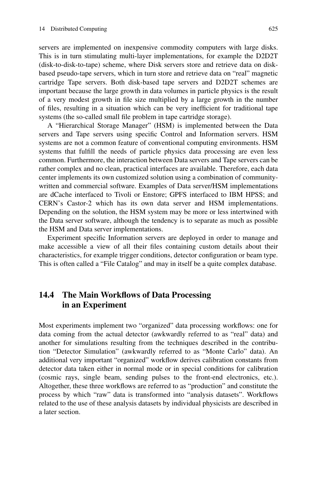servers are implemented on inexpensive commodity computers with large disks. This is in turn stimulating multi-layer implementations, for example the D2D2T (disk-to-disk-to-tape) scheme, where Disk servers store and retrieve data on diskbased pseudo-tape servers, which in turn store and retrieve data on "real" magnetic cartridge Tape servers. Both disk-based tape servers and D2D2T schemes are important because the large growth in data volumes in particle physics is the result of a very modest growth in file size multiplied by a large growth in the number of files, resulting in a situation which can be very inefficient for traditional tape systems (the so-called small file problem in tape cartridge storage).

A "Hierarchical Storage Manager" (HSM) is implemented between the Data servers and Tape servers using specific Control and Information servers. HSM systems are not a common feature of conventional computing environments. HSM systems that fulfill the needs of particle physics data processing are even less common. Furthermore, the interaction between Data servers and Tape servers can be rather complex and no clean, practical interfaces are available. Therefore, each data center implements its own customized solution using a combination of communitywritten and commercial software. Examples of Data server/HSM implementations are dCache interfaced to Tivoli or Enstore; GPFS interfaced to IBM HPSS; and CERN's Castor-2 which has its own data server and HSM implementations. Depending on the solution, the HSM system may be more or less intertwined with the Data server software, although the tendency is to separate as much as possible the HSM and Data server implementations.

Experiment specific Information servers are deployed in order to manage and make accessible a view of all their files containing custom details about their characteristics, for example trigger conditions, detector configuration or beam type. This is often called a "File Catalog" and may in itself be a quite complex database.

# **14.4 The Main Workflows of Data Processing in an Experiment**

Most experiments implement two "organized" data processing workflows: one for data coming from the actual detector (awkwardly referred to as "real" data) and another for simulations resulting from the techniques described in the contribution "Detector Simulation" (awkwardly referred to as "Monte Carlo" data). An additional very important "organized" workflow derives calibration constants from detector data taken either in normal mode or in special conditions for calibration (cosmic rays, single beam, sending pulses to the front-end electronics, etc.). Altogether, these three workflows are referred to as "production" and constitute the process by which "raw" data is transformed into "analysis datasets". Workflows related to the use of these analysis datasets by individual physicists are described in a later section.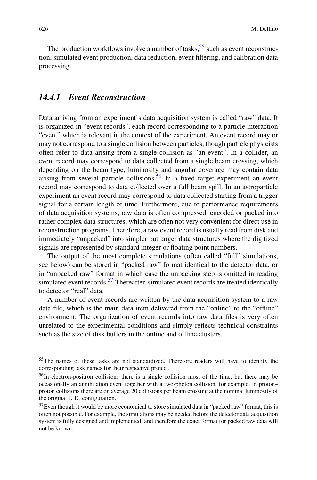The production workflows involve a number of tasks,  $55$  such as event reconstruction, simulated event production, data reduction, event filtering, and calibration data processing.

#### *14.4.1 Event Reconstruction*

Data arriving from an experiment's data acquisition system is called "raw" data. It is organized in "event records", each record corresponding to a particle interaction "event" which is relevant in the context of the experiment. An event record may or may not correspond to a single collision between particles, though particle physicists often refer to data arising from a single collision as "an event". In a collider, an event record may correspond to data collected from a single beam crossing, which depending on the beam type, luminosity and angular coverage may contain data arising from several particle collisions.<sup>56</sup> In a fixed target experiment an event record may correspond to data collected over a full beam spill. In an astroparticle experiment an event record may correspond to data collected starting from a trigger signal for a certain length of time. Furthermore, due to performance requirements of data acquisition systems, raw data is often compressed, encoded or packed into rather complex data structures, which are often not very convenient for direct use in reconstruction programs. Therefore, a raw event record is usually read from disk and immediately "unpacked" into simpler but larger data structures where the digitized signals are represented by standard integer or floating point numbers.

The output of the most complete simulations (often called "full" simulations, see below) can be stored in "packed raw" format identical to the detector data, or in "unpacked raw" format in which case the unpacking step is omitted in reading simulated event records.<sup>57</sup> Thereafter, simulated event records are treated identically to detector "real" data.

A number of event records are written by the data acquisition system to a raw data file, which is the main data item delivered from the "online" to the "offline" environment. The organization of event records into raw data files is very often unrelated to the experimental conditions and simply reflects technical constraints such as the size of disk buffers in the online and offline clusters.

<span id="page-13-0"></span><sup>55</sup>The names of these tasks are not standardized. Therefore readers will have to identify the corresponding task names for their respective project.

<span id="page-13-1"></span><sup>&</sup>lt;sup>56</sup>In electron-positron collisions there is a single collision most of the time, but there may be occasionally an annihilation event together with a two-photon collision, for example. In proton– proton collisions there are on average 20 collisions per beam crossing at the nominal luminosity of the original LHC configuration.

<span id="page-13-2"></span> $57$  Even though it would be more economical to store simulated data in "packed raw" format, this is often not possible. For example, the simulations may be needed before the detector data acquisition system is fully designed and implemented, and therefore the exact format for packed raw data will not be known.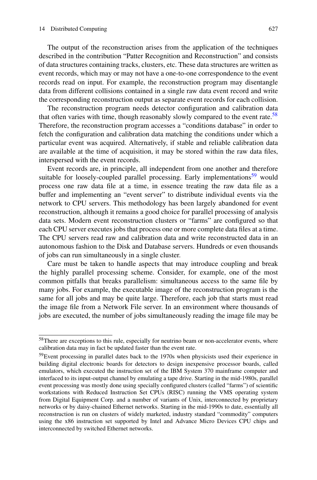The output of the reconstruction arises from the application of the techniques described in the contribution "Patter Recognition and Reconstruction" and consists of data structures containing tracks, clusters, etc. These data structures are written as event records, which may or may not have a one-to-one correspondence to the event records read on input. For example, the reconstruction program may disentangle data from different collisions contained in a single raw data event record and write the corresponding reconstruction output as separate event records for each collision.

The reconstruction program needs detector configuration and calibration data that often varies with time, though reasonably slowly compared to the event rate.<sup>58</sup> Therefore, the reconstruction program accesses a "conditions database" in order to fetch the configuration and calibration data matching the conditions under which a particular event was acquired. Alternatively, if stable and reliable calibration data are available at the time of acquisition, it may be stored within the raw data files, interspersed with the event records.

Event records are, in principle, all independent from one another and therefore suitable for loosely-coupled parallel processing. Early implementations<sup>59</sup> would process one raw data file at a time, in essence treating the raw data file as a buffer and implementing an "event server" to distribute individual events via the network to CPU servers. This methodology has been largely abandoned for event reconstruction, although it remains a good choice for parallel processing of analysis data sets. Modern event reconstruction clusters or "farms" are configured so that each CPU server executes jobs that process one or more complete data files at a time. The CPU servers read raw and calibration data and write reconstructed data in an autonomous fashion to the Disk and Database servers. Hundreds or even thousands of jobs can run simultaneously in a single cluster.

Care must be taken to handle aspects that may introduce coupling and break the highly parallel processing scheme. Consider, for example, one of the most common pitfalls that breaks parallelism: simultaneous access to the same file by many jobs. For example, the executable image of the reconstruction program is the same for all jobs and may be quite large. Therefore, each job that starts must read the image file from a Network File server. In an environment where thousands of jobs are executed, the number of jobs simultaneously reading the image file may be

<span id="page-14-0"></span><sup>58</sup> There are exceptions to this rule, especially for neutrino beam or non-accelerator events, where calibration data may in fact be updated faster than the event rate.

<span id="page-14-1"></span><sup>&</sup>lt;sup>59</sup>Event processing in parallel dates back to the 1970s when physicists used their experience in building digital electronic boards for detectors to design inexpensive processor boards, called emulators, which executed the instruction set of the IBM System 370 mainframe computer and interfaced to its input-output channel by emulating a tape drive. Starting in the mid-1980s, parallel event processing was mostly done using specially configured clusters (called "farms") of scientific workstations with Reduced Instruction Set CPUs (RISC) running the VMS operating system from Digital Equipment Corp. and a number of variants of Unix, interconnected by proprietary networks or by daisy-chained Ethernet networks. Starting in the mid-1990s to date, essentially all reconstruction is run on clusters of widely marketed, industry standard "commodity" computers using the x86 instruction set supported by Intel and Advance Micro Devices CPU chips and interconnected by switched Ethernet networks.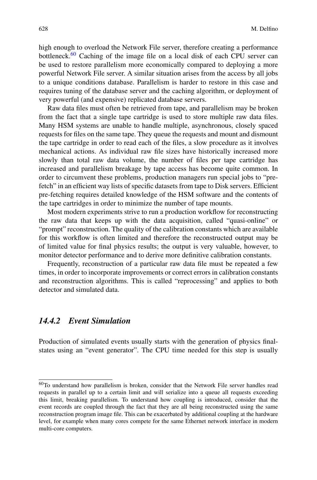high enough to overload the Network File server, therefore creating a performance bottleneck. $60$  Caching of the image file on a local disk of each CPU server can be used to restore parallelism more economically compared to deploying a more powerful Network File server. A similar situation arises from the access by all jobs to a unique conditions database. Parallelism is harder to restore in this case and requires tuning of the database server and the caching algorithm, or deployment of very powerful (and expensive) replicated database servers.

Raw data files must often be retrieved from tape, and parallelism may be broken from the fact that a single tape cartridge is used to store multiple raw data files. Many HSM systems are unable to handle multiple, asynchronous, closely spaced requests for files on the same tape. They queue the requests and mount and dismount the tape cartridge in order to read each of the files, a slow procedure as it involves mechanical actions. As individual raw file sizes have historically increased more slowly than total raw data volume, the number of files per tape cartridge has increased and parallelism breakage by tape access has become quite common. In order to circumvent these problems, production managers run special jobs to "prefetch" in an efficient way lists of specific datasets from tape to Disk servers. Efficient pre-fetching requires detailed knowledge of the HSM software and the contents of the tape cartridges in order to minimize the number of tape mounts.

Most modern experiments strive to run a production workflow for reconstructing the raw data that keeps up with the data acquisition, called "quasi-online" or "prompt" reconstruction. The quality of the calibration constants which are available for this workflow is often limited and therefore the reconstructed output may be of limited value for final physics results; the output is very valuable, however, to monitor detector performance and to derive more definitive calibration constants.

Frequently, reconstruction of a particular raw data file must be repeated a few times, in order to incorporate improvements or correct errors in calibration constants and reconstruction algorithms. This is called "reprocessing" and applies to both detector and simulated data.

#### *14.4.2 Event Simulation*

Production of simulated events usually starts with the generation of physics finalstates using an "event generator". The CPU time needed for this step is usually

<span id="page-15-0"></span> $60T<sub>O</sub>$  understand how parallelism is broken, consider that the Network File server handles read requests in parallel up to a certain limit and will serialize into a queue all requests exceeding this limit, breaking parallelism. To understand how coupling is introduced, consider that the event records are coupled through the fact that they are all being reconstructed using the same reconstruction program image file. This can be exacerbated by additional coupling at the hardware level, for example when many cores compete for the same Ethernet network interface in modern multi-core computers.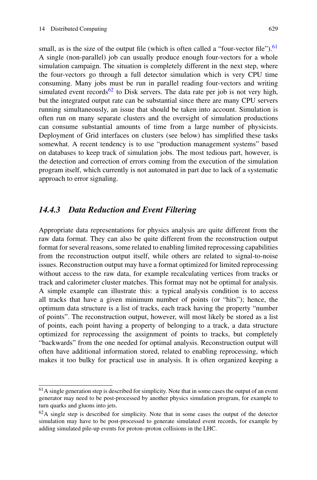small, as is the size of the output file (which is often called a "four-vector file").  $61$ A single (non-parallel) job can usually produce enough four-vectors for a whole simulation campaign. The situation is completely different in the next step, where the four-vectors go through a full detector simulation which is very CPU time consuming. Many jobs must be run in parallel reading four-vectors and writing simulated event records<sup>[62](#page-16-1)</sup> to Disk servers. The data rate per job is not very high, but the integrated output rate can be substantial since there are many CPU servers running simultaneously, an issue that should be taken into account. Simulation is often run on many separate clusters and the oversight of simulation productions can consume substantial amounts of time from a large number of physicists. Deployment of Grid interfaces on clusters (see below) has simplified these tasks somewhat. A recent tendency is to use "production management systems" based on databases to keep track of simulation jobs. The most tedious part, however, is the detection and correction of errors coming from the execution of the simulation program itself, which currently is not automated in part due to lack of a systematic approach to error signaling.

#### *14.4.3 Data Reduction and Event Filtering*

Appropriate data representations for physics analysis are quite different from the raw data format. They can also be quite different from the reconstruction output format for several reasons, some related to enabling limited reprocessing capabilities from the reconstruction output itself, while others are related to signal-to-noise issues. Reconstruction output may have a format optimized for limited reprocessing without access to the raw data, for example recalculating vertices from tracks or track and calorimeter cluster matches. This format may not be optimal for analysis. A simple example can illustrate this: a typical analysis condition is to access all tracks that have a given minimum number of points (or "hits"); hence, the optimum data structure is a list of tracks, each track having the property "number of points". The reconstruction output, however, will most likely be stored as a list of points, each point having a property of belonging to a track, a data structure optimized for reprocessing the assignment of points to tracks, but completely "backwards" from the one needed for optimal analysis. Reconstruction output will often have additional information stored, related to enabling reprocessing, which makes it too bulky for practical use in analysis. It is often organized keeping a

<span id="page-16-0"></span><sup>&</sup>lt;sup>61</sup>A single generation step is described for simplicity. Note that in some cases the output of an event generator may need to be post-processed by another physics simulation program, for example to turn quarks and gluons into jets.

<span id="page-16-1"></span> $62A$  single step is described for simplicity. Note that in some cases the output of the detector simulation may have to be post-processed to generate simulated event records, for example by adding simulated pile-up events for proton–proton collisions in the LHC.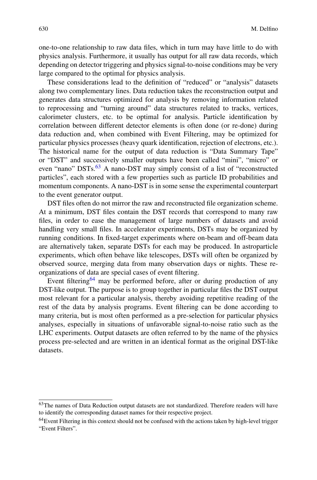one-to-one relationship to raw data files, which in turn may have little to do with physics analysis. Furthermore, it usually has output for all raw data records, which depending on detector triggering and physics signal-to-noise conditions may be very large compared to the optimal for physics analysis.

These considerations lead to the definition of "reduced" or "analysis" datasets along two complementary lines. Data reduction takes the reconstruction output and generates data structures optimized for analysis by removing information related to reprocessing and "turning around" data structures related to tracks, vertices, calorimeter clusters, etc. to be optimal for analysis. Particle identification by correlation between different detector elements is often done (or re-done) during data reduction and, when combined with Event Filtering, may be optimized for particular physics processes (heavy quark identification, rejection of electrons, etc.). The historical name for the output of data reduction is "Data Summary Tape" or "DST" and successively smaller outputs have been called "mini", "micro" or even "nano" DSTs.<sup>[63](#page-17-0)</sup> A nano-DST may simply consist of a list of "reconstructed" particles", each stored with a few properties such as particle ID probabilities and momentum components. A nano-DST is in some sense the experimental counterpart to the event generator output.

DST files often do not mirror the raw and reconstructed file organization scheme. At a minimum, DST files contain the DST records that correspond to many raw files, in order to ease the management of large numbers of datasets and avoid handling very small files. In accelerator experiments, DSTs may be organized by running conditions. In fixed-target experiments where on-beam and off-beam data are alternatively taken, separate DSTs for each may be produced. In astroparticle experiments, which often behave like telescopes, DSTs will often be organized by observed source, merging data from many observation days or nights. These reorganizations of data are special cases of event filtering.

Event filtering<sup>[64](#page-17-1)</sup> may be performed before, after or during production of any DST-like output. The purpose is to group together in particular files the DST output most relevant for a particular analysis, thereby avoiding repetitive reading of the rest of the data by analysis programs. Event filtering can be done according to many criteria, but is most often performed as a pre-selection for particular physics analyses, especially in situations of unfavorable signal-to-noise ratio such as the LHC experiments. Output datasets are often referred to by the name of the physics process pre-selected and are written in an identical format as the original DST-like datasets.

<span id="page-17-0"></span><sup>&</sup>lt;sup>63</sup>The names of Data Reduction output datasets are not standardized. Therefore readers will have to identify the corresponding dataset names for their respective project.

<span id="page-17-1"></span><sup>&</sup>lt;sup>64</sup>Event Filtering in this context should not be confused with the actions taken by high-level trigger "Event Filters".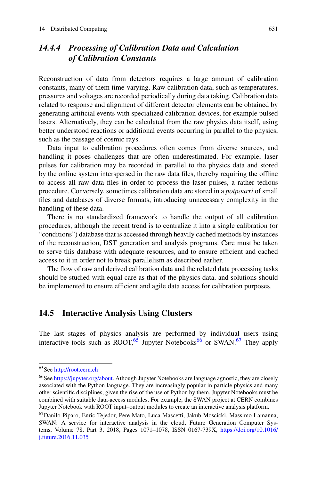# *14.4.4 Processing of Calibration Data and Calculation of Calibration Constants*

Reconstruction of data from detectors requires a large amount of calibration constants, many of them time-varying. Raw calibration data, such as temperatures, pressures and voltages are recorded periodically during data taking. Calibration data related to response and alignment of different detector elements can be obtained by generating artificial events with specialized calibration devices, for example pulsed lasers. Alternatively, they can be calculated from the raw physics data itself, using better understood reactions or additional events occurring in parallel to the physics, such as the passage of cosmic rays.

Data input to calibration procedures often comes from diverse sources, and handling it poses challenges that are often underestimated. For example, laser pulses for calibration may be recorded in parallel to the physics data and stored by the online system interspersed in the raw data files, thereby requiring the offline to access all raw data files in order to process the laser pulses, a rather tedious procedure. Conversely, sometimes calibration data are stored in a *potpourri* of small files and databases of diverse formats, introducing unnecessary complexity in the handling of these data.

There is no standardized framework to handle the output of all calibration procedures, although the recent trend is to centralize it into a single calibration (or "conditions") database that is accessed through heavily cached methods by instances of the reconstruction, DST generation and analysis programs. Care must be taken to serve this database with adequate resources, and to ensure efficient and cached access to it in order not to break parallelism as described earlier.

The flow of raw and derived calibration data and the related data processing tasks should be studied with equal care as that of the physics data, and solutions should be implemented to ensure efficient and agile data access for calibration purposes.

#### **14.5 Interactive Analysis Using Clusters**

The last stages of physics analysis are performed by individual users using interactive tools such as ROOT,<sup>[65](#page-18-0)</sup> Jupyter Notebooks<sup>66</sup> or SWAN.<sup>[67](#page-18-2)</sup> They apply

<span id="page-18-0"></span><sup>65</sup>See <http://root.cern.ch>

<span id="page-18-1"></span><sup>&</sup>lt;sup>66</sup>See [https://jupyter.org/about.](https://jupyter.org/about) Athough Jupyter Notebooks are language agnostic, they are closely associated with the Python language. They are increasingly popular in particle physics and many other scientific disciplines, given the rise of the use of Python by them. Jupyter Notebooks must be combined with suitable data-access modules. For example, the SWAN project at CERN combines Jupyter Notebook with ROOT input–output modules to create an interactive analysis platform.

<span id="page-18-2"></span><sup>67</sup>Danilo Piparo, Enric Tejedor, Pere Mato, Luca Mascetti, Jakub Moscicki, Massimo Lamanna, SWAN: A service for interactive analysis in the cloud, Future Generation Computer Sys[tems, Volume 78, Part 3, 2018, Pages 1071–1078, ISSN 0167-739X,](http://dx.doi.org/10.1016/j.future.2016.11.035) https://doi.org/10.1016/ j.future.2016.11.035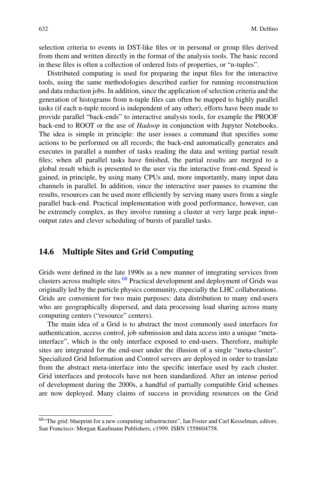selection criteria to events in DST-like files or in personal or group files derived from them and written directly in the format of the analysis tools. The basic record in these files is often a collection of ordered lists of properties, or "n-tuples".

Distributed computing is used for preparing the input files for the interactive tools, using the same methodologies described earlier for running reconstruction and data reduction jobs. In addition, since the application of selection criteria and the generation of histograms from n-tuple files can often be mapped to highly parallel tasks (if each n-tuple record is independent of any other), efforts have been made to provide parallel "back-ends" to interactive analysis tools, for example the PROOF back-end to ROOT or the use of *Hadoop* in conjunction with Jupyter Notebooks. The idea is simple in principle: the user issues a command that specifies some actions to be performed on all records; the back-end automatically generates and executes in parallel a number of tasks reading the data and writing partial result files; when all parallel tasks have finished, the partial results are merged to a global result which is presented to the user via the interactive front-end. Speed is gained, in principle, by using many CPUs and, more importantly, many input data channels in parallel. In addition, since the interactive user pauses to examine the results, resources can be used more efficiently by serving many users from a single parallel back-end. Practical implementation with good performance, however, can be extremely complex, as they involve running a cluster at very large peak input– output rates and clever scheduling of bursts of parallel tasks.

#### **14.6 Multiple Sites and Grid Computing**

Grids were defined in the late 1990s as a new manner of integrating services from clusters across multiple sites.<sup>68</sup> Practical development and deployment of Grids was originally led by the particle physics community, especially the LHC collaborations. Grids are convenient for two main purposes: data distribution to many end-users who are geographically dispersed, and data processing load sharing across many computing centers ("resource" centers).

The main idea of a Grid is to abstract the most commonly used interfaces for authentication, access control, job submission and data access into a unique "metainterface", which is the only interface exposed to end-users. Therefore, multiple sites are integrated for the end-user under the illusion of a single "meta-cluster". Specialized Grid Information and Control servers are deployed in order to translate from the abstract meta-interface into the specific interface used by each cluster. Grid interfaces and protocols have not been standardized. After an intense period of development during the 2000s, a handful of partially compatible Grid schemes are now deployed. Many claims of success in providing resources on the Grid

<span id="page-19-0"></span><sup>68&</sup>quot;The grid: blueprint for a new computing infrastructure", Ian Foster and Carl Kesselman, editors. San Francisco: Morgan Kaufmann Publishers, c1999. ISBN 1558604758.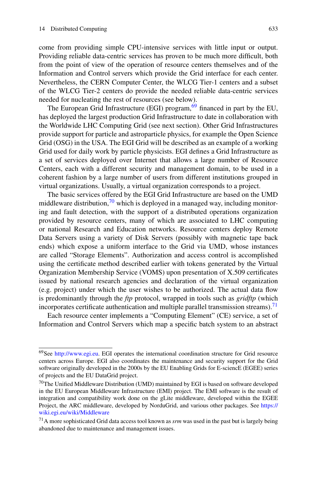come from providing simple CPU-intensive services with little input or output. Providing reliable data-centric services has proven to be much more difficult, both from the point of view of the operation of resource centers themselves and of the Information and Control servers which provide the Grid interface for each center. Nevertheless, the CERN Computer Center, the WLCG Tier-1 centers and a subset of the WLCG Tier-2 centers do provide the needed reliable data-centric services needed for nucleating the rest of resources (see below).

The European Grid Infrastructure (EGI) program, $69$  financed in part by the EU, has deployed the largest production Grid Infrastructure to date in collaboration with the Worldwide LHC Computing Grid (see next section). Other Grid Infrastructures provide support for particle and astroparticle physics, for example the Open Science Grid (OSG) in the USA. The EGI Grid will be described as an example of a working Grid used for daily work by particle physicists. EGI defines a Grid Infrastructure as a set of services deployed over Internet that allows a large number of Resource Centers, each with a different security and management domain, to be used in a coherent fashion by a large number of users from different institutions grouped in virtual organizations. Usually, a virtual organization corresponds to a project.

The basic services offered by the EGI Grid Infrastructure are based on the UMD middleware distribution, $70$  which is deployed in a managed way, including monitoring and fault detection, with the support of a distributed operations organization provided by resource centers, many of which are associated to LHC computing or national Research and Education networks. Resource centers deploy Remote Data Servers using a variety of Disk Servers (possibly with magnetic tape back ends) which expose a uniform interface to the Grid via UMD, whose instances are called "Storage Elements". Authorization and access control is accomplished using the certificate method described earlier with tokens generated by the Virtual Organization Membership Service (VOMS) upon presentation of X.509 certificates issued by national research agencies and declaration of the virtual organization (e.g. project) under which the user wishes to be authorized. The actual data flow is predominantly through the *ftp* protocol, wrapped in tools such as *gridftp* (which incorporates certificate authentication and multiple parallel transmission streams).<sup>[71](#page-20-2)</sup>

Each resource center implements a "Computing Element" (CE) service, a set of Information and Control Servers which map a specific batch system to an abstract

<span id="page-20-0"></span> $69$ See [http://www.egi.eu.](http://www.egi.eu/) EGI operates the international coordination structure for Grid resource centers across Europe. EGI also coordinates the maintenance and security support for the Grid software originally developed in the 2000s by the EU Enabling Grids for E-sciencE (EGEE) series of projects and the EU DataGrid project.

<span id="page-20-1"></span><sup>70</sup>The Unified Middleware Distribution (UMD) maintained by EGI is based on software developed in the EU European Middleware Infrastructure (EMI) project. The EMI software is the result of integration and compatibility work done on the gLite middleware, developed within the EGEE Project, the ARC middleware, developed by NorduGrid, and various other packages. See [https://](https://wiki.egi.eu/wiki/Middleware) [wiki.egi.eu/wiki/Middleware](https://wiki.egi.eu/wiki/Middleware)

<span id="page-20-2"></span><sup>71</sup>A more sophisticated Grid data access tool known as *srm* was used in the past but is largely being abandoned due to maintenance and management issues.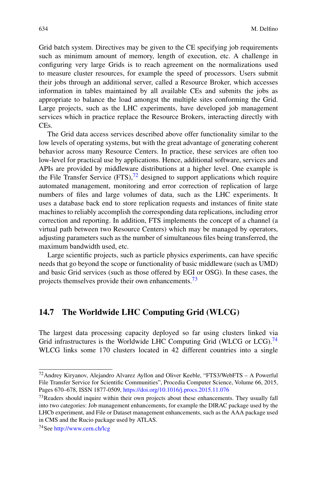Grid batch system. Directives may be given to the CE specifying job requirements such as minimum amount of memory, length of execution, etc. A challenge in configuring very large Grids is to reach agreement on the normalizations used to measure cluster resources, for example the speed of processors. Users submit their jobs through an additional server, called a Resource Broker, which accesses information in tables maintained by all available CEs and submits the jobs as appropriate to balance the load amongst the multiple sites conforming the Grid. Large projects, such as the LHC experiments, have developed job management services which in practice replace the Resource Brokers, interacting directly with CEs.

The Grid data access services described above offer functionality similar to the low levels of operating systems, but with the great advantage of generating coherent behavior across many Resource Centers. In practice, these services are often too low-level for practical use by applications. Hence, additional software, services and APIs are provided by middleware distributions at a higher level. One example is the File Transfer Service  $(FTS)$ ,  $^{72}$  $^{72}$  $^{72}$  designed to support applications which require automated management, monitoring and error correction of replication of large numbers of files and large volumes of data, such as the LHC experiments. It uses a database back end to store replication requests and instances of finite state machines to reliably accomplish the corresponding data replications, including error correction and reporting. In addition, FTS implements the concept of a channel (a virtual path between two Resource Centers) which may be managed by operators, adjusting parameters such as the number of simultaneous files being transferred, the maximum bandwidth used, etc.

Large scientific projects, such as particle physics experiments, can have specific needs that go beyond the scope or functionality of basic middleware (such as UMD) and basic Grid services (such as those offered by EGI or OSG). In these cases, the projects themselves provide their own enhancements.<sup>[73](#page-21-1)</sup>

#### **14.7 The Worldwide LHC Computing Grid (WLCG)**

The largest data processing capacity deployed so far using clusters linked via Grid infrastructures is the Worldwide LHC Computing Grid (WLCG or LCG).<sup>[74](#page-21-2)</sup> WLCG links some 170 clusters located in 42 different countries into a single

<span id="page-21-0"></span> $72$ Andrey Kiryanov, Alejandro Alvarez Ayllon and Oliver Keeble, "FTS3/WebFTS – A Powerful File Transfer Service for Scientific Communities", Procedia Computer Science, Volume 66, 2015, Pages 670–678, ISSN 1877-0509, [https://doi.org/10.1016/j.procs.2015.11.076](http://dx.doi.org/10.1016/j.procs.2015.11.076)

<span id="page-21-1"></span><sup>&</sup>lt;sup>73</sup>Readers should inquire within their own projects about these enhancements. They usually fall into two categories: Job management enhancements, for example the DIRAC package used by the LHCb experiment, and File or Dataset management enhancements, such as the AAA package used in CMS and the Rucio package used by ATLAS.

<span id="page-21-2"></span><sup>74</sup>See <http://www.cern.ch/lcg>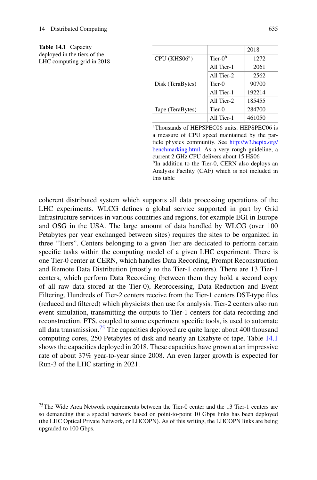<span id="page-22-1"></span>**Table 14.1** Capacity deployed in the tiers of the LHC computing grid in 2018

|            | 2018   |
|------------|--------|
| $Tier-0b$  | 1272   |
| All Tier-1 | 2061   |
| All Tier-2 | 2562   |
| Tier-0     | 90700  |
| All Tier-1 | 192214 |
| All Tier-2 | 185455 |
| Tier-0     | 284700 |
| All Tier-1 | 461050 |
|            |        |

<sup>a</sup>Thousands of HEPSPEC06 units. HEPSPEC06 is a measure of CPU speed maintained by the particle physics community. See [http://w3.hepix.org/](http://w3.hepix.org/benchmarking.html) [benchmarking.html.](http://w3.hepix.org/benchmarking.html) As a very rough guideline, a current 2 GHz CPU delivers about 15 HS06

 $b$ In addition to the Tier-0, CERN also deploys an Analysis Facility (CAF) which is not included in this table

coherent distributed system which supports all data processing operations of the LHC experiments. WLCG defines a global service supported in part by Grid Infrastructure services in various countries and regions, for example EGI in Europe and OSG in the USA. The large amount of data handled by WLCG (over 100 Petabytes per year exchanged between sites) requires the sites to be organized in three "Tiers". Centers belonging to a given Tier are dedicated to perform certain specific tasks within the computing model of a given LHC experiment. There is one Tier-0 center at CERN, which handles Data Recording, Prompt Reconstruction and Remote Data Distribution (mostly to the Tier-1 centers). There are 13 Tier-1 centers, which perform Data Recording (between them they hold a second copy of all raw data stored at the Tier-0), Reprocessing, Data Reduction and Event Filtering. Hundreds of Tier-2 centers receive from the Tier-1 centers DST-type files (reduced and filtered) which physicists then use for analysis. Tier-2 centers also run event simulation, transmitting the outputs to Tier-1 centers for data recording and reconstruction. FTS, coupled to some experiment specific tools, is used to automate all data transmission.<sup>[75](#page-22-0)</sup> The capacities deployed are quite large: about 400 thousand computing cores, 250 Petabytes of disk and nearly an Exabyte of tape. Table [14.1](#page-22-1) shows the capacities deployed in 2018. These capacities have grown at an impressive rate of about 37% year-to-year since 2008. An even larger growth is expected for Run-3 of the LHC starting in 2021.

<span id="page-22-0"></span><sup>75</sup>The Wide Area Network requirements between the Tier-0 center and the 13 Tier-1 centers are so demanding that a special network based on point-to-point 10 Gbps links has been deployed (the LHC Optical Private Network, or LHCOPN). As of this writing, the LHCOPN links are being upgraded to 100 Gbps.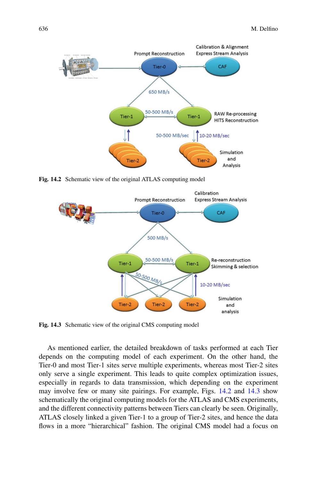

<span id="page-23-0"></span>**Fig. 14.2** Schematic view of the original ATLAS computing model



<span id="page-23-1"></span>**Fig. 14.3** Schematic view of the original CMS computing model

As mentioned earlier, the detailed breakdown of tasks performed at each Tier depends on the computing model of each experiment. On the other hand, the Tier-0 and most Tier-1 sites serve multiple experiments, whereas most Tier-2 sites only serve a single experiment. This leads to quite complex optimization issues, especially in regards to data transmission, which depending on the experiment may involve few or many site pairings. For example, Figs. [14.2](#page-23-0) and [14.3](#page-23-1) show schematically the original computing models for the ATLAS and CMS experiments, and the different connectivity patterns between Tiers can clearly be seen. Originally, ATLAS closely linked a given Tier-1 to a group of Tier-2 sites, and hence the data flows in a more "hierarchical" fashion. The original CMS model had a focus on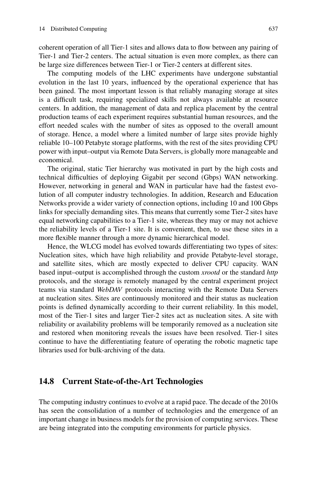coherent operation of all Tier-1 sites and allows data to flow between any pairing of Tier-1 and Tier-2 centers. The actual situation is even more complex, as there can be large size differences between Tier-1 or Tier-2 centers at different sites.

The computing models of the LHC experiments have undergone substantial evolution in the last 10 years, influenced by the operational experience that has been gained. The most important lesson is that reliably managing storage at sites is a difficult task, requiring specialized skills not always available at resource centers. In addition, the management of data and replica placement by the central production teams of each experiment requires substantial human resources, and the effort needed scales with the number of sites as opposed to the overall amount of storage. Hence, a model where a limited number of large sites provide highly reliable 10–100 Petabyte storage platforms, with the rest of the sites providing CPU power with input–output via Remote Data Servers, is globally more manageable and economical.

The original, static Tier hierarchy was motivated in part by the high costs and technical difficulties of deploying Gigabit per second (Gbps) WAN networking. However, networking in general and WAN in particular have had the fastest evolution of all computer industry technologies. In addition, Research and Education Networks provide a wider variety of connection options, including 10 and 100 Gbps links for specially demanding sites. This means that currently some Tier-2 sites have equal networking capabilities to a Tier-1 site, whereas they may or may not achieve the reliability levels of a Tier-1 site. It is convenient, then, to use these sites in a more flexible manner through a more dynamic hierarchical model.

Hence, the WLCG model has evolved towards differentiating two types of sites: Nucleation sites, which have high reliability and provide Petabyte-level storage, and satellite sites, which are mostly expected to deliver CPU capacity. WAN based input–output is accomplished through the custom *xrootd* or the standard *http* protocols, and the storage is remotely managed by the central experiment project teams via standard *WebDAV* protocols interacting with the Remote Data Servers at nucleation sites. Sites are continuously monitored and their status as nucleation points is defined dynamically according to their current reliability. In this model, most of the Tier-1 sites and larger Tier-2 sites act as nucleation sites. A site with reliability or availability problems will be temporarily removed as a nucleation site and restored when monitoring reveals the issues have been resolved. Tier-1 sites continue to have the differentiating feature of operating the robotic magnetic tape libraries used for bulk-archiving of the data.

#### **14.8 Current State-of-the-Art Technologies**

The computing industry continues to evolve at a rapid pace. The decade of the 2010s has seen the consolidation of a number of technologies and the emergence of an important change in business models for the provision of computing services. These are being integrated into the computing environments for particle physics.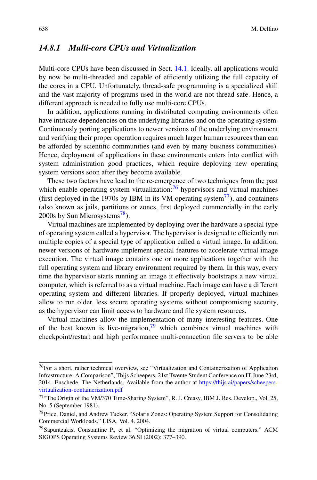### *14.8.1 Multi-core CPUs and Virtualization*

Multi-core CPUs have been discussed in Sect. [14.1.](#page-0-1) Ideally, all applications would by now be multi-threaded and capable of efficiently utilizing the full capacity of the cores in a CPU. Unfortunately, thread-safe programming is a specialized skill and the vast majority of programs used in the world are not thread-safe. Hence, a different approach is needed to fully use multi-core CPUs.

In addition, applications running in distributed computing environments often have intricate dependencies on the underlying libraries and on the operating system. Continuously porting applications to newer versions of the underlying environment and verifying their proper operation requires much larger human resources than can be afforded by scientific communities (and even by many business communities). Hence, deployment of applications in these environments enters into conflict with system administration good practices, which require deploying new operating system versions soon after they become available.

These two factors have lead to the re-emergence of two techniques from the past which enable operating system virtualization:  $\frac{76}{9}$  hypervisors and virtual machines (first deployed in the 1970s by IBM in its VM operating system<sup>77</sup>), and containers (also known as jails, partitions or zones, first deployed commercially in the early 2000s by Sun Microsystems<sup>78</sup>).

Virtual machines are implemented by deploying over the hardware a special type of operating system called a hypervisor. The hypervisor is designed to efficiently run multiple copies of a special type of application called a virtual image. In addition, newer versions of hardware implement special features to accelerate virtual image execution. The virtual image contains one or more applications together with the full operating system and library environment required by them. In this way, every time the hypervisor starts running an image it effectively bootstraps a new virtual computer, which is referred to as a virtual machine. Each image can have a different operating system and different libraries. If properly deployed, virtual machines allow to run older, less secure operating systems without compromising security, as the hypervisor can limit access to hardware and file system resources.

Virtual machines allow the implementation of many interesting features. One of the best known is live-migration, $79$  which combines virtual machines with checkpoint/restart and high performance multi-connection file servers to be able

<span id="page-25-0"></span><sup>76</sup>For a short, rather technical overview, see "Virtualization and Containerization of Application Infrastructure: A Comparison", Thijs Scheepers, 21st Twente Student Conference on IT June 23rd, 2014, Enschede, The Netherlands. Available from the author at [https://thijs.ai/papers/scheepers](https://thijs.ai/papers/scheepers-virtualization-containerization.pdf)[virtualization-containerization.pdf](https://thijs.ai/papers/scheepers-virtualization-containerization.pdf)

<span id="page-25-1"></span><sup>77&</sup>quot;The Origin of the VM/370 Time-Sharing System", R. J. Creasy, IBM J. Res. Develop., Vol. 25, No. 5 (September 1981).

<span id="page-25-2"></span><sup>&</sup>lt;sup>78</sup> Price, Daniel, and Andrew Tucker. "Solaris Zones: Operating System Support for Consolidating Commercial Workloads." LISA. Vol. 4. 2004.

<span id="page-25-3"></span> $^{79}$ Sapuntzakis, Constantine P., et al. "Optimizing the migration of virtual computers." ACM SIGOPS Operating Systems Review 36.SI (2002): 377–390.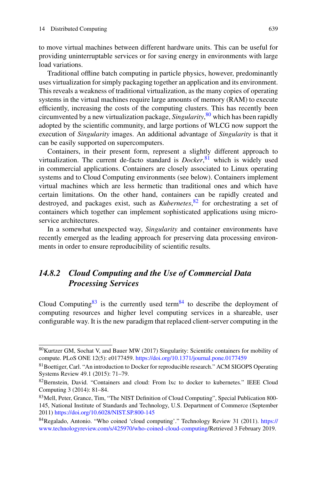to move virtual machines between different hardware units. This can be useful for providing uninterruptable services or for saving energy in environments with large load variations.

Traditional offline batch computing in particle physics, however, predominantly uses virtualization for simply packaging together an application and its environment. This reveals a weakness of traditional virtualization, as the many copies of operating systems in the virtual machines require large amounts of memory (RAM) to execute efficiently, increasing the costs of the computing clusters. This has recently been circumvented by a new virtualization package, *Singularity*, [80](#page-26-0) which has been rapidly adopted by the scientific community, and large portions of WLCG now support the execution of *Singularity* images. An additional advantage of *Singularity* is that it can be easily supported on supercomputers.

Containers, in their present form, represent a slightly different approach to virtualization. The current de-facto standard is *Docker*, [81](#page-26-1) which is widely used in commercial applications. Containers are closely associated to Linux operating systems and to Cloud Computing environments (see below). Containers implement virtual machines which are less hermetic than traditional ones and which have certain limitations. On the other hand, containers can be rapidly created and destroyed, and packages exist, such as *Kubernetes*, [82](#page-26-2) for orchestrating a set of containers which together can implement sophisticated applications using microservice architectures.

In a somewhat unexpected way, *Singularity* and container environments have recently emerged as the leading approach for preserving data processing environments in order to ensure reproducibility of scientific results.

## *14.8.2 Cloud Computing and the Use of Commercial Data Processing Services*

Cloud Computing  $83$  is the currently used term  $84$  to describe the deployment of computing resources and higher level computing services in a shareable, user configurable way. It is the new paradigm that replaced client-server computing in the

<span id="page-26-0"></span><sup>&</sup>lt;sup>80</sup>Kurtzer GM, Sochat V, and Bauer MW (2017) Singularity: Scientific containers for mobility of compute. PLoS ONE 12(5): e0177459. [https://doi.org/10.1371/journal.pone.0177459](http://dx.doi.org/10.1371/journal.pone.0177459)

<span id="page-26-1"></span><sup>&</sup>lt;sup>81</sup>Boettiger, Carl. "An introduction to Docker for reproducible research." ACM SIGOPS Operating Systems Review 49.1 (2015): 71–79.

<span id="page-26-2"></span><sup>82</sup> Bernstein, David. "Containers and cloud: From lxc to docker to kubernetes." IEEE Cloud Computing 3 (2014): 81–84.

<span id="page-26-3"></span><sup>83</sup> Mell, Peter, Grance, Tim, "The NIST Definition of Cloud Computing", Special Publication 800-145, National Institute of Standards and Technology, U.S. Department of Commerce (September 2011) [https://doi.org/10.6028/NIST.SP.800-145](http://dx.doi.org/10.6028/NIST.SP.800-145)

<span id="page-26-4"></span><sup>84</sup>Regalado, Antonio. "Who coined 'cloud computing'." Technology Review 31 (2011). [https://](https://www.technologyreview.com/s/425970/who-coined-cloud-computing) [www.technologyreview.com/s/425970/who-coined-cloud-computing/](https://www.technologyreview.com/s/425970/who-coined-cloud-computing)Retrieved 3 February 2019.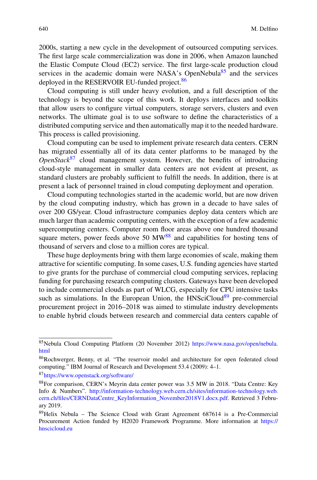2000s, starting a new cycle in the development of outsourced computing services. The first large scale commercialization was done in 2006, when Amazon launched the Elastic Compute Cloud (EC2) service. The first large-scale production cloud services in the academic domain were NASA's OpenNebula $85$  and the services deployed in the RESERVOIR EU-funded project.<sup>[86](#page-27-1)</sup>

Cloud computing is still under heavy evolution, and a full description of the technology is beyond the scope of this work. It deploys interfaces and toolkits that allow users to configure virtual computers, storage servers, clusters and even networks. The ultimate goal is to use software to define the characteristics of a distributed computing service and then automatically map it to the needed hardware. This process is called provisioning.

Cloud computing can be used to implement private research data centers. CERN has migrated essentially all of its data center platforms to be managed by the *OpenStack*[87](#page-27-2) cloud management system. However, the benefits of introducing cloud-style management in smaller data centers are not evident at present, as standard clusters are probably sufficient to fulfill the needs. In addition, there is at present a lack of personnel trained in cloud computing deployment and operation.

Cloud computing technologies started in the academic world, but are now driven by the cloud computing industry, which has grown in a decade to have sales of over 200 G\$/year. Cloud infrastructure companies deploy data centers which are much larger than academic computing centers, with the exception of a few academic supercomputing centers. Computer room floor areas above one hundred thousand square meters, power feeds above 50  $MW<sup>88</sup>$  and capabilities for hosting tens of thousand of servers and close to a million cores are typical.

These huge deployments bring with them large economies of scale, making them attractive for scientific computing. In some cases, U.S. funding agencies have started to give grants for the purchase of commercial cloud computing services, replacing funding for purchasing research computing clusters. Gateways have been developed to include commercial clouds as part of WLCG, especially for CPU intensive tasks such as simulations. In the European Union, the  $HNSciCloud<sup>89</sup>$  $HNSciCloud<sup>89</sup>$  $HNSciCloud<sup>89</sup>$  pre-commercial procurement project in 2016–2018 was aimed to stimulate industry developments to enable hybrid clouds between research and commercial data centers capable of

<span id="page-27-0"></span><sup>85</sup>Nebula Cloud Computing Platform (20 November 2012) [https://www.nasa.gov/open/nebula.](https://www.nasa.gov/open/nebula.html) [html](https://www.nasa.gov/open/nebula.html)

<span id="page-27-1"></span><sup>86</sup>Rochwerger, Benny, et al. "The reservoir model and architecture for open federated cloud computing." IBM Journal of Research and Development 53.4 (2009): 4–1.

<span id="page-27-2"></span><sup>8</sup>[7https://www.openstack.org/software/](https://www.openstack.org/software/)

<span id="page-27-3"></span><sup>88</sup>For comparison, CERN's Meyrin data center power was 3.5 MW in 2018. "Data Centre: Key Info & Numbers". [http://information-technology.web.cern.ch/sites/information-technology.web.](http://information-technology.web.cern.ch/sites/information-technology.web.cern.ch/files/CERNDataCentre_KeyInformation_November2018V1.docx.pdf) [cern.ch/files/CERNDataCentre\\_KeyInformation\\_November2018V1.docx.pdf.](http://information-technology.web.cern.ch/sites/information-technology.web.cern.ch/files/CERNDataCentre_KeyInformation_November2018V1.docx.pdf) Retrieved 3 February 2019.

<span id="page-27-4"></span><sup>89</sup>Helix Nebula – The Science Cloud with Grant Agreement 687614 is a Pre-Commercial Procurement Action funded by H2020 Framework Programme. More information at [https://](https://hnscicloud.eu) [hnscicloud.eu](https://hnscicloud.eu)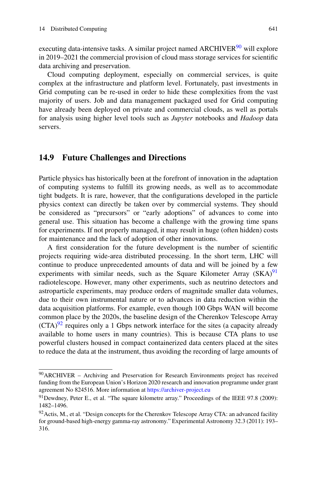executing data-intensive tasks. A similar project named ARCHIVER $90$  will explore in 2019–2021 the commercial provision of cloud mass storage services for scientific data archiving and preservation.

Cloud computing deployment, especially on commercial services, is quite complex at the infrastructure and platform level. Fortunately, past investments in Grid computing can be re-used in order to hide these complexities from the vast majority of users. Job and data management packaged used for Grid computing have already been deployed on private and commercial clouds, as well as portals for analysis using higher level tools such as *Jupyter* notebooks and *Hadoop* data servers.

#### **14.9 Future Challenges and Directions**

Particle physics has historically been at the forefront of innovation in the adaptation of computing systems to fulfill its growing needs, as well as to accommodate tight budgets. It is rare, however, that the configurations developed in the particle physics context can directly be taken over by commercial systems. They should be considered as "precursors" or "early adoptions" of advances to come into general use. This situation has become a challenge with the growing time spans for experiments. If not properly managed, it may result in huge (often hidden) costs for maintenance and the lack of adoption of other innovations.

A first consideration for the future development is the number of scientific projects requiring wide-area distributed processing. In the short term, LHC will continue to produce unprecedented amounts of data and will be joined by a few experiments with similar needs, such as the Square Kilometer Array  $(SKA)^{91}$ radiotelescope. However, many other experiments, such as neutrino detectors and astroparticle experiments, may produce orders of magnitude smaller data volumes, due to their own instrumental nature or to advances in data reduction within the data acquisition platforms. For example, even though 100 Gbps WAN will become common place by the 2020s, the baseline design of the Cherenkov Telescope Array  $(CTA)^{92}$  $(CTA)^{92}$  $(CTA)^{92}$  requires only a 1 Gbps network interface for the sites (a capacity already available to home users in many countries). This is because CTA plans to use powerful clusters housed in compact containerized data centers placed at the sites to reduce the data at the instrument, thus avoiding the recording of large amounts of

<span id="page-28-0"></span><sup>90</sup>ARCHIVER – Archiving and Preservation for Research Environments project has received funding from the European Union's Horizon 2020 research and innovation programme under grant agreement No 824516. More information at <https://archiver-project.eu>

<span id="page-28-1"></span><sup>&</sup>lt;sup>91</sup>Dewdney, Peter E., et al. "The square kilometre array." Proceedings of the IEEE 97.8 (2009): 1482–1496.

<span id="page-28-2"></span> $92$ Actis, M., et al. "Design concepts for the Cherenkov Telescope Array CTA: an advanced facility for ground-based high-energy gamma-ray astronomy." Experimental Astronomy 32.3 (2011): 193– 316.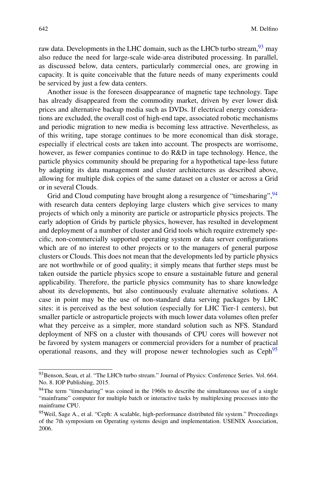raw data. Developments in the LHC domain, such as the LHCb turbo stream,  $93$  may also reduce the need for large-scale wide-area distributed processing. In parallel, as discussed below, data centers, particularly commercial ones, are growing in capacity. It is quite conceivable that the future needs of many experiments could be serviced by just a few data centers.

Another issue is the foreseen disappearance of magnetic tape technology. Tape has already disappeared from the commodity market, driven by ever lower disk prices and alternative backup media such as DVDs. If electrical energy considerations are excluded, the overall cost of high-end tape, associated robotic mechanisms and periodic migration to new media is becoming less attractive. Nevertheless, as of this writing, tape storage continues to be more economical than disk storage, especially if electrical costs are taken into account. The prospects are worrisome, however, as fewer companies continue to do R&D in tape technology. Hence, the particle physics community should be preparing for a hypothetical tape-less future by adapting its data management and cluster architectures as described above, allowing for multiple disk copies of the same dataset on a cluster or across a Grid or in several Clouds.

Grid and Cloud computing have brought along a resurgence of "timesharing", <sup>94</sup> with research data centers deploying large clusters which give services to many projects of which only a minority are particle or astroparticle physics projects. The early adoption of Grids by particle physics, however, has resulted in development and deployment of a number of cluster and Grid tools which require extremely specific, non-commercially supported operating system or data server configurations which are of no interest to other projects or to the managers of general purpose clusters or Clouds. This does not mean that the developments led by particle physics are not worthwhile or of good quality; it simply means that further steps must be taken outside the particle physics scope to ensure a sustainable future and general applicability. Therefore, the particle physics community has to share knowledge about its developments, but also continuously evaluate alternative solutions. A case in point may be the use of non-standard data serving packages by LHC sites: it is perceived as the best solution (especially for LHC Tier-1 centers), but smaller particle or astroparticle projects with much lower data volumes often prefer what they perceive as a simpler, more standard solution such as NFS. Standard deployment of NFS on a cluster with thousands of CPU cores will however not be favored by system managers or commercial providers for a number of practical operational reasons, and they will propose newer technologies such as  $Ceph<sup>95</sup>$ 

<span id="page-29-0"></span><sup>93</sup>Benson, Sean, et al. "The LHCb turbo stream." Journal of Physics: Conference Series. Vol. 664. No. 8. IOP Publishing, 2015.

<span id="page-29-1"></span><sup>&</sup>lt;sup>94</sup>The term "timesharing" was coined in the 1960s to describe the simultaneous use of a single "mainframe" computer for multiple batch or interactive tasks by multiplexing processes into the mainframe CPU.

<span id="page-29-2"></span><sup>&</sup>lt;sup>95</sup>Weil, Sage A., et al. "Ceph: A scalable, high-performance distributed file system." Proceedings of the 7th symposium on Operating systems design and implementation. USENIX Association, 2006.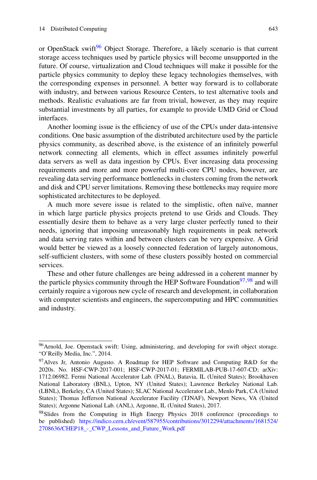or OpenStack swift $96$  Object Storage. Therefore, a likely scenario is that current storage access techniques used by particle physics will become unsupported in the future. Of course, virtualization and Cloud techniques will make it possible for the particle physics community to deploy these legacy technologies themselves, with the corresponding expenses in personnel. A better way forward is to collaborate with industry, and between various Resource Centers, to test alternative tools and methods. Realistic evaluations are far from trivial, however, as they may require substantial investments by all parties, for example to provide UMD Grid or Cloud interfaces.

Another looming issue is the efficiency of use of the CPUs under data-intensive conditions. One basic assumption of the distributed architecture used by the particle physics community, as described above, is the existence of an infinitely powerful network connecting all elements, which in effect assumes infinitely powerful data servers as well as data ingestion by CPUs. Ever increasing data processing requirements and more and more powerful multi-core CPU nodes, however, are revealing data serving performance bottlenecks in clusters coming from the network and disk and CPU server limitations. Removing these bottlenecks may require more sophisticated architectures to be deployed.

A much more severe issue is related to the simplistic, often naïve, manner in which large particle physics projects pretend to use Grids and Clouds. They essentially desire them to behave as a very large cluster perfectly tuned to their needs, ignoring that imposing unreasonably high requirements in peak network and data serving rates within and between clusters can be very expensive. A Grid would better be viewed as a loosely connected federation of largely autonomous, self-sufficient clusters, with some of these clusters possibly hosted on commercial services.

These and other future challenges are being addressed in a coherent manner by the particle physics community through the HEP Software Foundation $97,98$  $97,98$  and will certainly require a vigorous new cycle of research and development, in collaboration with computer scientists and engineers, the supercomputing and HPC communities and industry.

<span id="page-30-0"></span><sup>&</sup>lt;sup>96</sup>Arnold, Joe. Openstack swift: Using, administering, and developing for swift object storage. "O'Reilly Media, Inc.", 2014.

<span id="page-30-1"></span> $97$ Alves Jr, Antonio Augusto. A Roadmap for HEP Software and Computing R&D for the 2020s. No. HSF-CWP-2017-001; HSF-CWP-2017-01; FERMILAB-PUB-17-607-CD; arXiv: 1712.06982. Fermi National Accelerator Lab. (FNAL), Batavia, IL (United States); Brookhaven National Laboratory (BNL), Upton, NY (United States); Lawrence Berkeley National Lab. (LBNL), Berkeley, CA (United States); SLAC National Accelerator Lab., Menlo Park, CA (United States); Thomas Jefferson National Accelerator Facility (TJNAF), Newport News, VA (United States); Argonne National Lab. (ANL), Argonne, IL (United States), 2017.

<span id="page-30-2"></span><sup>&</sup>lt;sup>98</sup>Slides from the Computing in High Energy Physics 2018 conference (proceedings to be published) [https://indico.cern.ch/event/587955/contributions/3012294/attachments/1681524/](https://indico.cern.ch/event/587955/contributions/3012294/attachments/1681524/2708636/CHEP18_-_CWP_Lessons_and_Future_Work.pdf) [2708636/CHEP18\\_-\\_CWP\\_Lessons\\_and\\_Future\\_Work.pdf](https://indico.cern.ch/event/587955/contributions/3012294/attachments/1681524/2708636/CHEP18_-_CWP_Lessons_and_Future_Work.pdf)